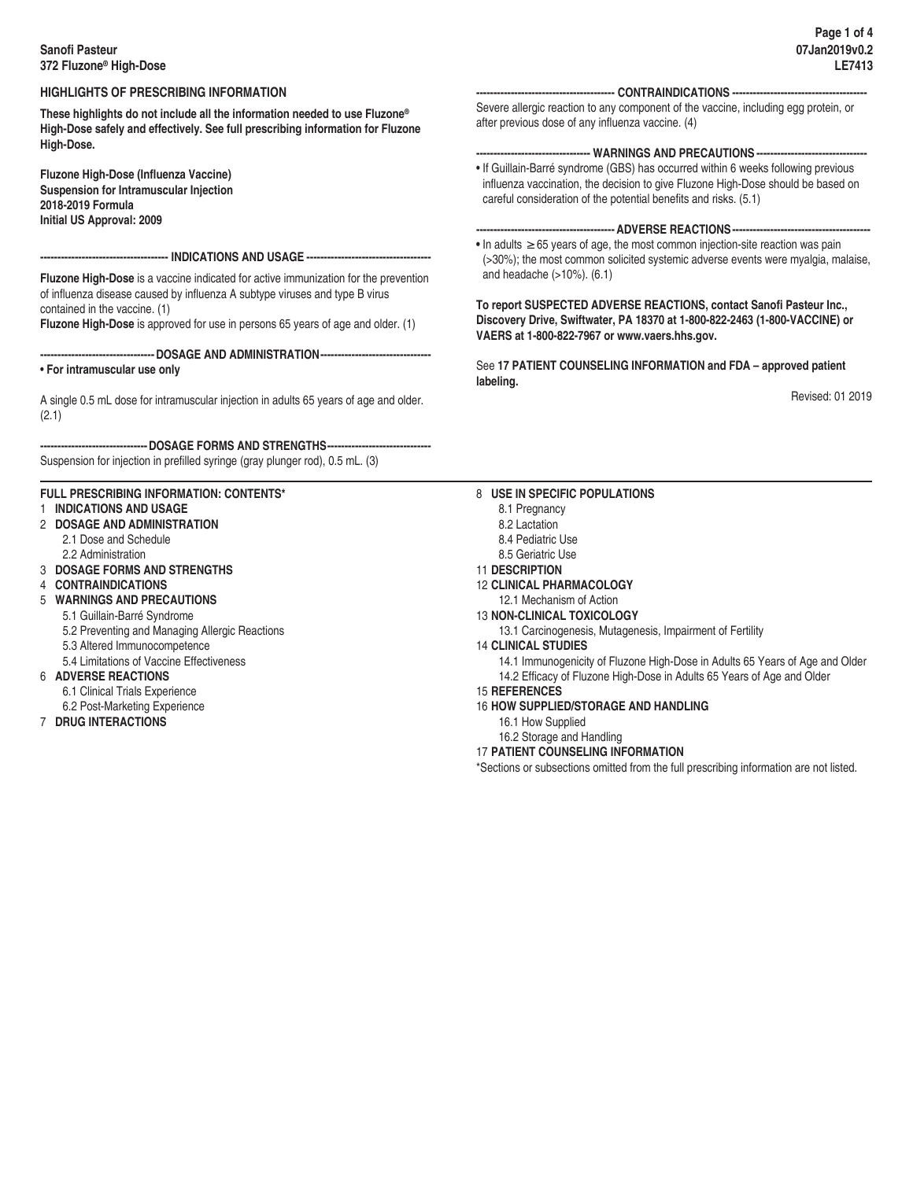## **Sanofi Pasteur 372 Fluzone® High-Dose**

## **HIGHLIGHTS OF PRESCRIBING INFORMATION**

**These highlights do not include all the information needed to use Fluzone® High-Dose safely and effectively. See full prescribing information for Fluzone High-Dose.**

**Fluzone High-Dose (Influenza Vaccine) Suspension for Intramuscular Injection 2018-2019 Formula Initial US Approval: 2009**

#### **------------------------------------- INDICATIONS AND USAGE ------------------------------------**

**Fluzone High-Dose** is a vaccine indicated for active immunization for the prevention of influenza disease caused by influenza A subtype viruses and type B virus contained in the vaccine. (1)

**Fluzone High-Dose** is approved for use in persons 65 years of age and older. (1)

#### **---------------------------------DOSAGE AND ADMINISTRATION--------------------------------** • **For intramuscular use only**

A single 0.5 mL dose for intramuscular injection in adults 65 years of age and older. (2.1)

**-------------------------------DOSAGE FORMS AND STRENGTHS------------------------------** Suspension for injection in prefilled syringe (gray plunger rod), 0.5 mL. (3)

# **FULL PRESCRIBING INFORMATION: CONTENTS\***

## 1 **INDICATIONS AND USAGE**

- 2 **DOSAGE AND ADMINISTRATION**
	- 2.1 Dose and Schedule
	- 2.2 Administration
- 3 **DOSAGE FORMS AND STRENGTHS**
- 4 **CONTRAINDICATIONS**
- 5 **WARNINGS AND PRECAUTIONS**
	- 5.1 Guillain-Barré Syndrome
		- 5.2 Preventing and Managing Allergic Reactions
		- 5.3 Altered Immunocompetence
	- 5.4 Limitations of Vaccine Effectiveness
- 6 **ADVERSE REACTIONS**
	- 6.1 Clinical Trials Experience
	- 6.2 Post-Marketing Experience
- 7 **DRUG INTERACTIONS**

### **---------------------------------------- CONTRAINDICATIONS ---------------------------------------**

Severe allergic reaction to any component of the vaccine, including egg protein, or after previous dose of any influenza vaccine. (4)

## **--------------------------------- WARNINGS AND PRECAUTIONS --------------------------------**

• If Guillain-Barré syndrome (GBS) has occurred within 6 weeks following previous influenza vaccination, the decision to give Fluzone High-Dose should be based on careful consideration of the potential benefits and risks. (5.1)

### **---------------------------------------- ADVERSE REACTIONS----------------------------------------**

**•** In adults **≥**65 years of age, the most common injection-site reaction was pain (>30%); the most common solicited systemic adverse events were myalgia, malaise, and headache (>10%). (6.1)

**To report SUSPECTED ADVERSE REACTIONS, contact Sanofi Pasteur Inc., Discovery Drive, Swiftwater, PA 18370 at 1-800-822-2463 (1-800-VACCINE) or VAERS at 1-800-822-7967 or www.vaers.hhs.gov.**

See **17 PATIENT COUNSELING INFORMATION and FDA – approved patient labeling.**

Revised: 01 2019

## 8 **USE IN SPECIFIC POPULATIONS**

- 8.1 Pregnancy
- 8.2 Lactation
- 8.4 Pediatric Use
- 8.5 Geriatric Use
- 11 **DESCRIPTION**
- 12 **CLINICAL PHARMACOLOGY**
- 12.1 Mechanism of Action
- 13 **NON-CLINICAL TOXICOLOGY**

13.1 Carcinogenesis, Mutagenesis, Impairment of Fertility

14 **CLINICAL STUDIES**

14.1 Immunogenicity of Fluzone High-Dose in Adults 65 Years of Age and Older 14.2 Efficacy of Fluzone High-Dose in Adults 65 Years of Age and Older

- 15 **REFERENCES**
- 16 **HOW SUPPLIED/STORAGE AND HANDLING**
- 16.1 How Supplied
- 16.2 Storage and Handling
- 17 **PATIENT COUNSELING INFORMATION**

\*Sections or subsections omitted from the full prescribing information are not listed.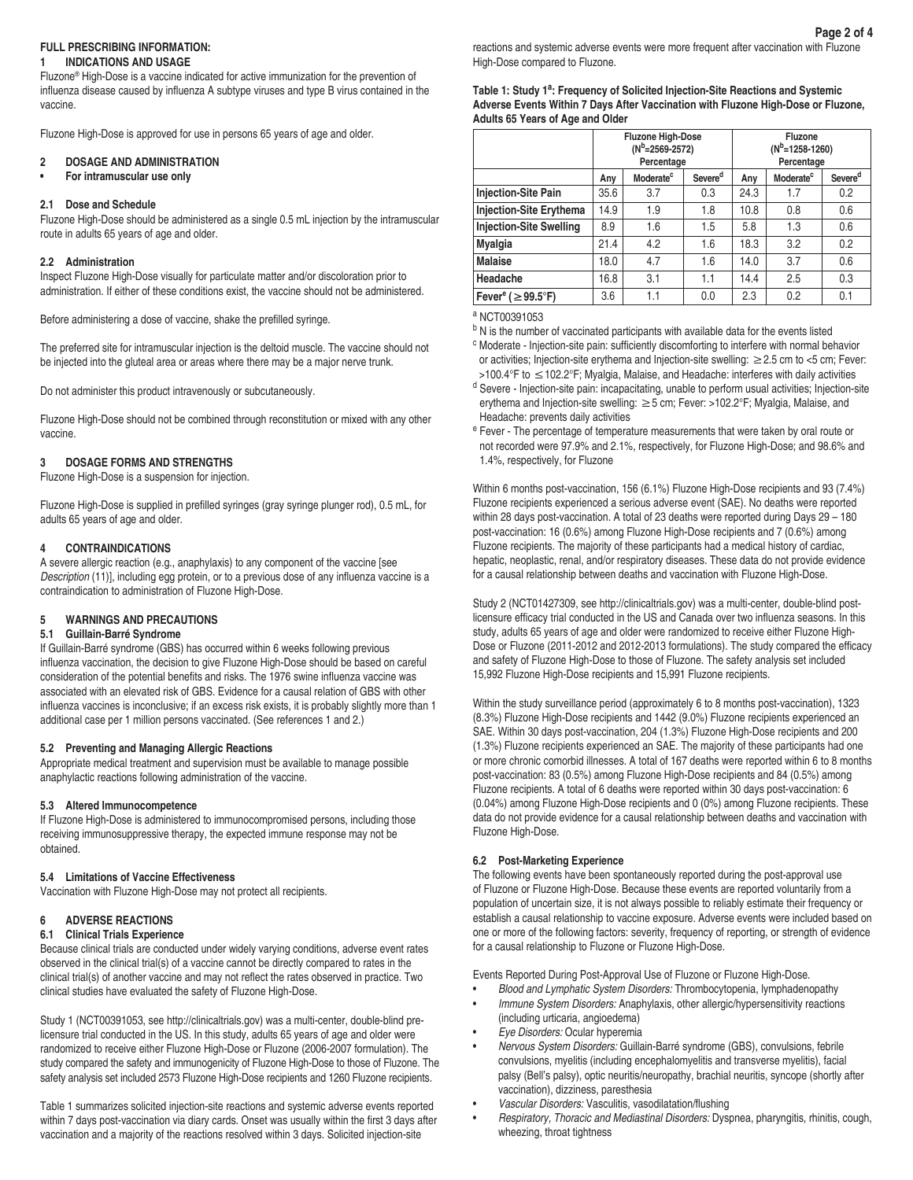### **FULL PRESCRIBING INFORMATION:**

#### **1 INDICATIONS AND USAGE**

Fluzone® High-Dose is a vaccine indicated for active immunization for the prevention of influenza disease caused by influenza A subtype viruses and type B virus contained in the vaccine.

Fluzone High-Dose is approved for use in persons 65 years of age and older.

#### **2 DOSAGE AND ADMINISTRATION**

**• For intramuscular use only**

### **2.1 Dose and Schedule**

Fluzone High-Dose should be administered as a single 0.5 mL injection by the intramuscular route in adults 65 years of age and older.

#### **2.2 Administration**

Inspect Fluzone High-Dose visually for particulate matter and/or discoloration prior to administration. If either of these conditions exist, the vaccine should not be administered.

Before administering a dose of vaccine, shake the prefilled syringe.

The preferred site for intramuscular injection is the deltoid muscle. The vaccine should not be injected into the gluteal area or areas where there may be a major nerve trunk.

Do not administer this product intravenously or subcutaneously.

Fluzone High-Dose should not be combined through reconstitution or mixed with any other vaccine.

### **3 DOSAGE FORMS AND STRENGTHS**

Fluzone High-Dose is a suspension for injection.

Fluzone High-Dose is supplied in prefilled syringes (gray syringe plunger rod), 0.5 mL, for adults 65 years of age and older.

### **4 CONTRAINDICATIONS**

A severe allergic reaction (e.g., anaphylaxis) to any component of the vaccine [see *Description* (11)], including egg protein, or to a previous dose of any influenza vaccine is a contraindication to administration of Fluzone High-Dose.

#### **5 WARNINGS AND PRECAUTIONS**

#### **5.1 Guillain-Barré Syndrome**

If Guillain-Barré syndrome (GBS) has occurred within 6 weeks following previous influenza vaccination, the decision to give Fluzone High-Dose should be based on careful consideration of the potential benefits and risks. The 1976 swine influenza vaccine was associated with an elevated risk of GBS. Evidence for a causal relation of GBS with other influenza vaccines is inconclusive; if an excess risk exists, it is probably slightly more than 1 additional case per 1 million persons vaccinated. (See references 1 and 2.)

#### **5.2 Preventing and Managing Allergic Reactions**

Appropriate medical treatment and supervision must be available to manage possible anaphylactic reactions following administration of the vaccine.

#### **5.3 Altered Immunocompetence**

If Fluzone High-Dose is administered to immunocompromised persons, including those receiving immunosuppressive therapy, the expected immune response may not be obtained.

#### **5.4 Limitations of Vaccine Effectiveness**

Vaccination with Fluzone High-Dose may not protect all recipients.

### **6 ADVERSE REACTIONS**

#### **6.1 Clinical Trials Experience**

Because clinical trials are conducted under widely varying conditions, adverse event rates observed in the clinical trial(s) of a vaccine cannot be directly compared to rates in the clinical trial(s) of another vaccine and may not reflect the rates observed in practice. Two clinical studies have evaluated the safety of Fluzone High-Dose.

Study 1 (NCT00391053, see http://clinicaltrials.gov) was a multi-center, double-blind prelicensure trial conducted in the US. In this study, adults 65 years of age and older were randomized to receive either Fluzone High-Dose or Fluzone (2006-2007 formulation). The study compared the safety and immunogenicity of Fluzone High-Dose to those of Fluzone. The safety analysis set included 2573 Fluzone High-Dose recipients and 1260 Fluzone recipients.

Table 1 summarizes solicited injection-site reactions and systemic adverse events reported within 7 days post-vaccination via diary cards. Onset was usually within the first 3 days after vaccination and a majority of the reactions resolved within 3 days. Solicited injection-site

**Table 1: Study 1<sup>a</sup> : Frequency of Solicited Injection-Site Reactions and Systemic Adverse Events Within 7 Days After Vaccination with Fluzone High-Dose or Fluzone, Adults 65 Years of Age and Older**

|                                     | <b>Fluzone High-Dose</b><br>(N <sup>b</sup> =2569-2572)<br>Percentage |                       |                     | Fluzone<br>$(N^{b}=1258-1260)$<br>Percentage |                       |                     |
|-------------------------------------|-----------------------------------------------------------------------|-----------------------|---------------------|----------------------------------------------|-----------------------|---------------------|
|                                     | Any                                                                   | Moderate <sup>c</sup> | Severe <sup>d</sup> | Any                                          | Moderate <sup>c</sup> | Severe <sup>d</sup> |
| <b>Injection-Site Pain</b>          | 35.6                                                                  | 3.7                   | 0.3                 | 24.3                                         | 1.7                   | 0.2                 |
| <b>Injection-Site Erythema</b>      | 14.9                                                                  | 1.9                   | 1.8                 | 10.8                                         | 0.8                   | 0.6                 |
| <b>Injection-Site Swelling</b>      | 8.9                                                                   | 1.6                   | 1.5                 | 5.8                                          | 1.3                   | 0.6                 |
| <b>Myalgia</b>                      | 21.4                                                                  | 4.2                   | 1.6                 | 18.3                                         | 3.2                   | 0.2                 |
| <b>Malaise</b>                      | 18.0                                                                  | 4.7                   | 1.6                 | 14.0                                         | 3.7                   | 0.6                 |
| Headache                            | 16.8                                                                  | 3.1                   | 1.1                 | 14.4                                         | 2.5                   | 0.3                 |
| Fever <sup>e</sup> ( $\geq$ 99.5°F) | 3.6                                                                   | 1.1                   | 0.0                 | 2.3                                          | 0.2                   | 0.1                 |

a NCT00391053

- <sup>b</sup> N is the number of vaccinated participants with available data for the events listed
- <sup>c</sup> Moderate Injection-site pain: sufficiently discomforting to interfere with normal behavior or activities; Injection-site erythema and Injection-site swelling: ≥2.5 cm to <5 cm; Fever: >100.4°F to ≤102.2°F; Myalgia, Malaise, and Headache: interferes with daily activities
- <sup>d</sup> Severe Injection-site pain: incapacitating, unable to perform usual activities; Injection-site erythema and Injection-site swelling: ≥5 cm; Fever: >102.2°F; Myalgia, Malaise, and Headache: prevents daily activities
- <sup>e</sup> Fever The percentage of temperature measurements that were taken by oral route or not recorded were 97.9% and 2.1%, respectively, for Fluzone High-Dose; and 98.6% and 1.4%, respectively, for Fluzone

Within 6 months post-vaccination, 156 (6.1%) Fluzone High-Dose recipients and 93 (7.4%) Fluzone recipients experienced a serious adverse event (SAE). No deaths were reported within 28 days post-vaccination. A total of 23 deaths were reported during Days 29 – 180 post-vaccination: 16 (0.6%) among Fluzone High-Dose recipients and 7 (0.6%) among Fluzone recipients. The majority of these participants had a medical history of cardiac, hepatic, neoplastic, renal, and/or respiratory diseases. These data do not provide evidence for a causal relationship between deaths and vaccination with Fluzone High-Dose.

Study 2 (NCT01427309, see http://clinicaltrials.gov) was a multi-center, double-blind postlicensure efficacy trial conducted in the US and Canada over two influenza seasons. In this study, adults 65 years of age and older were randomized to receive either Fluzone High-Dose or Fluzone (2011-2012 and 2012-2013 formulations). The study compared the efficacy and safety of Fluzone High-Dose to those of Fluzone. The safety analysis set included 15,992 Fluzone High-Dose recipients and 15,991 Fluzone recipients.

Within the study surveillance period (approximately 6 to 8 months post-vaccination), 1323 (8.3%) Fluzone High-Dose recipients and 1442 (9.0%) Fluzone recipients experienced an SAE. Within 30 days post-vaccination, 204 (1.3%) Fluzone High-Dose recipients and 200 (1.3%) Fluzone recipients experienced an SAE. The majority of these participants had one or more chronic comorbid illnesses. A total of 167 deaths were reported within 6 to 8 months post-vaccination: 83 (0.5%) among Fluzone High-Dose recipients and 84 (0.5%) among Fluzone recipients. A total of 6 deaths were reported within 30 days post-vaccination: 6 (0.04%) among Fluzone High-Dose recipients and 0 (0%) among Fluzone recipients. These data do not provide evidence for a causal relationship between deaths and vaccination with Fluzone High-Dose.

### **6.2 Post-Marketing Experience**

The following events have been spontaneously reported during the post-approval use of Fluzone or Fluzone High-Dose. Because these events are reported voluntarily from a population of uncertain size, it is not always possible to reliably estimate their frequency or establish a causal relationship to vaccine exposure. Adverse events were included based on one or more of the following factors: severity, frequency of reporting, or strength of evidence for a causal relationship to Fluzone or Fluzone High-Dose.

Events Reported During Post-Approval Use of Fluzone or Fluzone High-Dose.

- *Blood and Lymphatic System Disorders:* Thrombocytopenia, lymphadenopathy
- *Immune System Disorders:* Anaphylaxis, other allergic/hypersensitivity reactions (including urticaria, angioedema)
- *Eye Disorders:* Ocular hyperemia
- *Nervous System Disorders:* Guillain-Barré syndrome (GBS), convulsions, febrile convulsions, myelitis (including encephalomyelitis and transverse myelitis), facial palsy (Bell's palsy), optic neuritis/neuropathy, brachial neuritis, syncope (shortly after vaccination), dizziness, paresthesia
- *Vascular Disorders:* Vasculitis, vasodilatation/flushing
- *Respiratory, Thoracic and Mediastinal Disorders:* Dyspnea, pharyngitis, rhinitis, cough, wheezing, throat tightness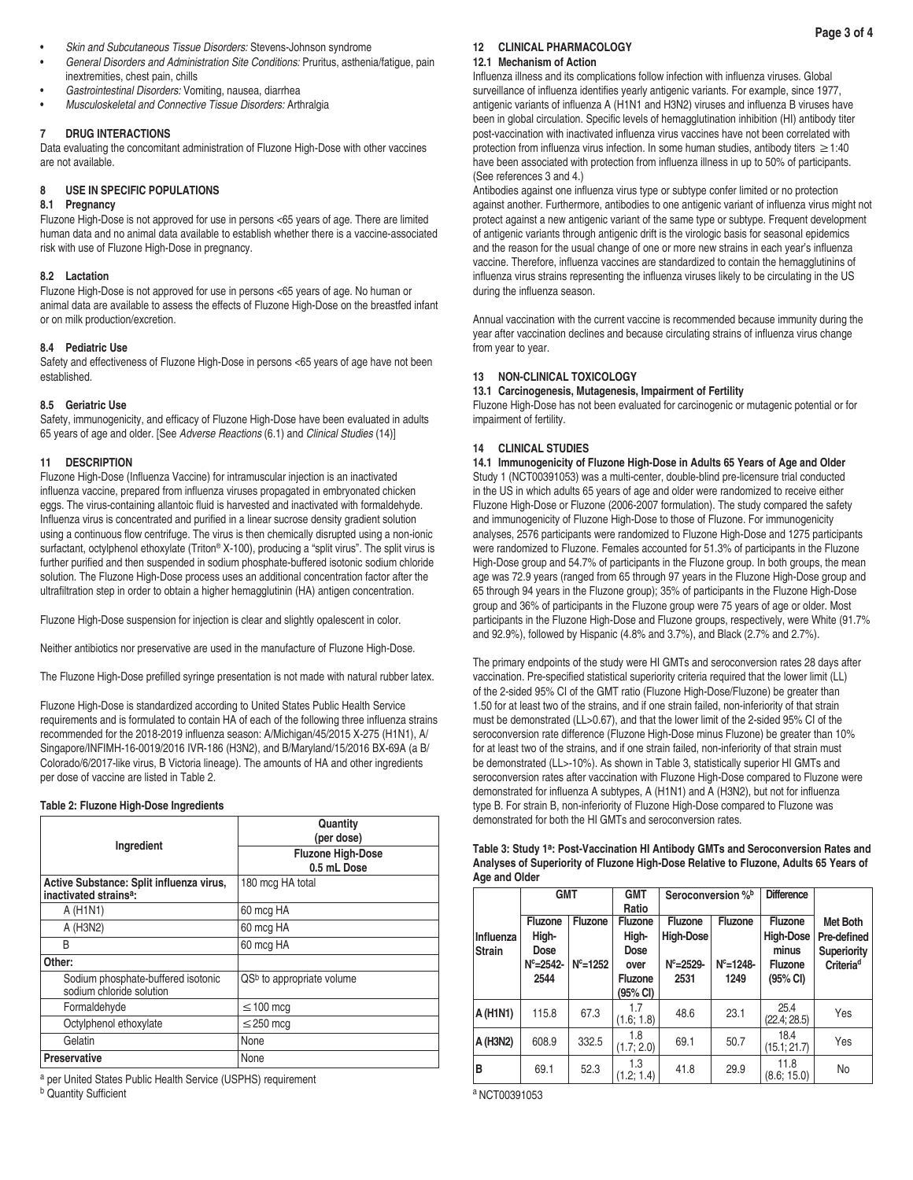- *Skin and Subcutaneous Tissue Disorders:* Stevens-Johnson syndrome
- *General Disorders and Administration Site Conditions:* Pruritus, asthenia/fatigue, pain inextremities, chest pain, chills
- *Gastrointestinal Disorders:* Vomiting, nausea, diarrhea
- *Musculoskeletal and Connective Tissue Disorders:* Arthralgia

## **7 DRUG INTERACTIONS**

Data evaluating the concomitant administration of Fluzone High-Dose with other vaccines are not available.

## **8 USE IN SPECIFIC POPULATIONS**

# **8.1 Pregnancy**

Fluzone High-Dose is not approved for use in persons <65 years of age. There are limited human data and no animal data available to establish whether there is a vaccine-associated risk with use of Fluzone High-Dose in pregnancy.

# **8.2 Lactation**

Fluzone High-Dose is not approved for use in persons <65 years of age. No human or animal data are available to assess the effects of Fluzone High-Dose on the breastfed infant or on milk production/excretion.

# **8.4 Pediatric Use**

Safety and effectiveness of Fluzone High-Dose in persons <65 years of age have not been established.

# **8.5 Geriatric Use**

Safety, immunogenicity, and efficacy of Fluzone High-Dose have been evaluated in adults 65 years of age and older. [See *Adverse Reactions* (6.1) and *Clinical Studies* (14)]

# **11 DESCRIPTION**

Fluzone High-Dose (Influenza Vaccine) for intramuscular injection is an inactivated influenza vaccine, prepared from influenza viruses propagated in embryonated chicken eggs. The virus-containing allantoic fluid is harvested and inactivated with formaldehyde. Influenza virus is concentrated and purified in a linear sucrose density gradient solution using a continuous flow centrifuge. The virus is then chemically disrupted using a non-ionic surfactant, octylphenol ethoxylate (Triton® X-100), producing a "split virus". The split virus is further purified and then suspended in sodium phosphate-buffered isotonic sodium chloride solution. The Fluzone High-Dose process uses an additional concentration factor after the ultrafiltration step in order to obtain a higher hemagglutinin (HA) antigen concentration.

Fluzone High-Dose suspension for injection is clear and slightly opalescent in color.

Neither antibiotics nor preservative are used in the manufacture of Fluzone High-Dose.

The Fluzone High-Dose prefilled syringe presentation is not made with natural rubber latex.

Fluzone High-Dose is standardized according to United States Public Health Service requirements and is formulated to contain HA of each of the following three influenza strains recommended for the 2018-2019 influenza season: A/Michigan/45/2015 X-275 (H1N1), A/ Singapore/INFIMH-16-0019/2016 IVR-186 (H3N2), and B/Maryland/15/2016 BX-69A (a B/ Colorado/6/2017-like virus, B Victoria lineage). The amounts of HA and other ingredients per dose of vaccine are listed in Table 2.

## **Table 2: Fluzone High-Dose Ingredients**

|                                                                                | Quantity<br>(per dose)                  |  |  |
|--------------------------------------------------------------------------------|-----------------------------------------|--|--|
| Ingredient                                                                     | <b>Fluzone High-Dose</b><br>0.5 mL Dose |  |  |
| Active Substance: Split influenza virus.<br>inactivated strains <sup>a</sup> : | 180 mcg HA total                        |  |  |
| A (H <sub>1</sub> N <sub>1</sub> )                                             | 60 mcg HA                               |  |  |
| A (H3N2)                                                                       | 60 mcg HA                               |  |  |
| B                                                                              | 60 mcg HA                               |  |  |
| Other:                                                                         |                                         |  |  |
| Sodium phosphate-buffered isotonic<br>sodium chloride solution                 | $QSb$ to appropriate volume             |  |  |
| Formaldehyde                                                                   | $\leq$ 100 mcg                          |  |  |
| Octylphenol ethoxylate                                                         | $\leq$ 250 mcg                          |  |  |
| Gelatin                                                                        | None                                    |  |  |
| <b>Preservative</b>                                                            | None                                    |  |  |

a per United States Public Health Service (USPHS) requirement **b** Quantity Sufficient

# **12 CLINICAL PHARMACOLOGY**

### **12.1 Mechanism of Action**

Influenza illness and its complications follow infection with influenza viruses. Global surveillance of influenza identifies yearly antigenic variants. For example, since 1977, antigenic variants of influenza A (H1N1 and H3N2) viruses and influenza B viruses have been in global circulation. Specific levels of hemagglutination inhibition (HI) antibody titer post-vaccination with inactivated influenza virus vaccines have not been correlated with protection from influenza virus infection. In some human studies, antibody titers ≥1:40 have been associated with protection from influenza illness in up to 50% of participants. (See references 3 and 4.)

Antibodies against one influenza virus type or subtype confer limited or no protection against another. Furthermore, antibodies to one antigenic variant of influenza virus might not protect against a new antigenic variant of the same type or subtype. Frequent development of antigenic variants through antigenic drift is the virologic basis for seasonal epidemics and the reason for the usual change of one or more new strains in each year's influenza vaccine. Therefore, influenza vaccines are standardized to contain the hemagglutinins of influenza virus strains representing the influenza viruses likely to be circulating in the US during the influenza season.

Annual vaccination with the current vaccine is recommended because immunity during the year after vaccination declines and because circulating strains of influenza virus change from year to year.

## **13 NON-CLINICAL TOXICOLOGY**

#### **13.1 Carcinogenesis, Mutagenesis, Impairment of Fertility**

Fluzone High-Dose has not been evaluated for carcinogenic or mutagenic potential or for impairment of fertility.

## **14 CLINICAL STUDIES**

**14.1 Immunogenicity of Fluzone High-Dose in Adults 65 Years of Age and Older** Study 1 (NCT00391053) was a multi-center, double-blind pre-licensure trial conducted in the US in which adults 65 years of age and older were randomized to receive either Fluzone High-Dose or Fluzone (2006-2007 formulation). The study compared the safety and immunogenicity of Fluzone High-Dose to those of Fluzone. For immunogenicity analyses, 2576 participants were randomized to Fluzone High-Dose and 1275 participants were randomized to Fluzone. Females accounted for 51.3% of participants in the Fluzone High-Dose group and 54.7% of participants in the Fluzone group. In both groups, the mean age was 72.9 years (ranged from 65 through 97 years in the Fluzone High-Dose group and 65 through 94 years in the Fluzone group); 35% of participants in the Fluzone High-Dose group and 36% of participants in the Fluzone group were 75 years of age or older. Most participants in the Fluzone High-Dose and Fluzone groups, respectively, were White (91.7% and 92.9%), followed by Hispanic (4.8% and 3.7%), and Black (2.7% and 2.7%).

The primary endpoints of the study were HI GMTs and seroconversion rates 28 days after vaccination. Pre-specified statistical superiority criteria required that the lower limit (LL) of the 2-sided 95% CI of the GMT ratio (Fluzone High-Dose/Fluzone) be greater than 1.50 for at least two of the strains, and if one strain failed, non-inferiority of that strain must be demonstrated (LL>0.67), and that the lower limit of the 2-sided 95% CI of the seroconversion rate difference (Fluzone High-Dose minus Fluzone) be greater than 10% for at least two of the strains, and if one strain failed, non-inferiority of that strain must be demonstrated (LL>-10%). As shown in Table 3, statistically superior HI GMTs and seroconversion rates after vaccination with Fluzone High-Dose compared to Fluzone were demonstrated for influenza A subtypes, A (H1N1) and A (H3N2), but not for influenza type B. For strain B, non-inferiority of Fluzone High-Dose compared to Fluzone was demonstrated for both the HI GMTs and seroconversion rates.

**Table 3: Study 1a: Post-Vaccination HI Antibody GMTs and Seroconversion Rates and Analyses of Superiority of Fluzone High-Dose Relative to Fluzone, Adults 65 Years of** 

| <b>GMT</b>          |                                                           |                         | <b>GMT</b><br>Ratio                                            | Seroconversion % <sup>b</sup>                         |                                          | <b>Difference</b>                                                  |                                                                 |
|---------------------|-----------------------------------------------------------|-------------------------|----------------------------------------------------------------|-------------------------------------------------------|------------------------------------------|--------------------------------------------------------------------|-----------------------------------------------------------------|
| Influenza<br>Strain | <b>Fluzone</b><br>High-<br>Dose<br>$N^c = 2542 -$<br>2544 | Fluzone<br>$N^c = 1252$ | <b>Fluzone</b><br>High-<br>Dose<br>over<br>Fluzone<br>(95% CI) | Fluzone<br><b>High-Dose</b><br>$N^c = 2529 -$<br>2531 | <b>Fluzone</b><br>$N^c = 1248 -$<br>1249 | <b>Fluzone</b><br>High-Dose<br>minus<br><b>Fluzone</b><br>(95% CI) | Met Both<br>Pre-defined<br>Superiority<br>Criteria <sup>d</sup> |
| A (H1N1)            | 115.8                                                     | 67.3                    | 1.7<br>(1.6; 1.8)                                              | 48.6                                                  | 23.1                                     | 25.4<br>(22.4; 28.5)                                               | Yes                                                             |
| A (H3N2)            | 608.9                                                     | 332.5                   | 1.8<br>(1.7; 2.0)                                              | 69.1                                                  | 50.7                                     | 18.4<br>(15.1; 21.7)                                               | Yes                                                             |
| в                   | 69.1                                                      | 52.3                    | 1.3<br>(1.2; 1.4)                                              | 41.8                                                  | 29.9                                     | 11.8<br>(8.6; 15.0)                                                | No                                                              |

a NCT00391053

**Age and Older**